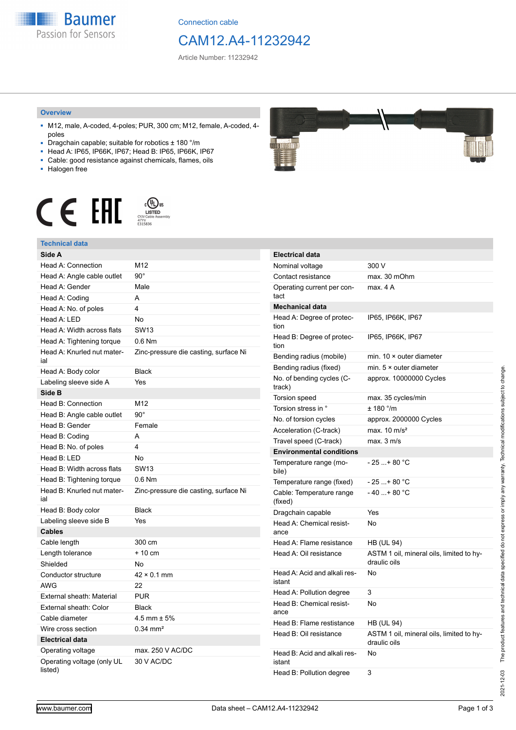**Baumer** Passion for Sensors

Connection cable

## CAM12.A4-11232942

Article Number: 11232942

#### **Overview**

- M12, male, A-coded, 4-poles; PUR, 300 cm; M12, female, A-coded, 4 poles
- Dragchain capable; suitable for robotics ± 180 °/m
- Head A: IP65, IP66K, IP67; Head B: IP65, IP66K, IP67 ■ Cable: good resistance against chemicals, flames, oils
- 
- Halogen free



### **Technical data**

| IGUIIIIUAI UALA                       |                                       |
|---------------------------------------|---------------------------------------|
| Side A                                |                                       |
| Head A: Connection                    | M <sub>12</sub>                       |
| Head A: Angle cable outlet            | $90^{\circ}$                          |
| Head A: Gender                        | Male                                  |
| Head A: Coding                        | A                                     |
| Head A: No. of poles                  | 4                                     |
| Head A: LED                           | <b>No</b>                             |
| Head A: Width across flats            | <b>SW13</b>                           |
| Head A: Tightening torque             | $0.6$ Nm                              |
| Head A: Knurled nut mater-<br>ial     | Zinc-pressure die casting, surface Ni |
| Head A: Body color                    | <b>Black</b>                          |
| Labeling sleeve side A                | Yes                                   |
| Side B                                |                                       |
| Head B: Connection                    | M12                                   |
| Head B: Angle cable outlet            | $90^\circ$                            |
| Head B: Gender                        | Female                                |
| Head B: Coding                        | A                                     |
| Head B: No. of poles                  | 4                                     |
| Head B: LED                           | No                                    |
| Head B: Width across flats            | <b>SW13</b>                           |
| Head B: Tightening torque             | $0.6$ Nm                              |
| Head B: Knurled nut mater-<br>ial     | Zinc-pressure die casting, surface Ni |
| Head B: Body color                    | <b>Black</b>                          |
| Labeling sleeve side B                | Yes                                   |
| <b>Cables</b>                         |                                       |
| Cable length                          | 300 cm                                |
| Length tolerance                      | $+10$ cm                              |
| Shielded                              | No                                    |
| Conductor structure                   | $42 \times 0.1$ mm                    |
| <b>AWG</b>                            | 22                                    |
| <b>External sheath: Material</b>      | <b>PUR</b>                            |
| External sheath: Color                | <b>Black</b>                          |
| Cable diameter                        | $4.5$ mm $\pm 5\%$                    |
| Wire cross section                    | $0.34$ mm <sup>2</sup>                |
| <b>Electrical data</b>                |                                       |
| Operating voltage                     | max. 250 V AC/DC                      |
| Operating voltage (only UL<br>listed) | 30 V AC/DC                            |



| <b>Electrical data</b>                 |                                                          |
|----------------------------------------|----------------------------------------------------------|
| Nominal voltage                        | 300 V                                                    |
| Contact resistance                     | max. 30 mOhm                                             |
| Operating current per con-<br>tact     | max. 4 A                                                 |
| <b>Mechanical data</b>                 |                                                          |
| Head A: Degree of protec-<br>tion      | IP65, IP66K, IP67                                        |
| Head B: Degree of protec-<br>tion      | IP65, IP66K, IP67                                        |
| Bending radius (mobile)                | min. $10 \times$ outer diameter                          |
| Bending radius (fixed)                 | min. $5 \times$ outer diameter                           |
| No. of bending cycles (C-<br>track)    | approx. 10000000 Cycles                                  |
| Torsion speed                          | max. 35 cycles/min                                       |
| Torsion stress in °                    | $± 180$ °/m                                              |
| No. of torsion cycles                  | approx. 2000000 Cycles                                   |
| Acceleration (C-track)                 | max. $10 \text{ m/s}^2$                                  |
| Travel speed (C-track)                 | max. 3 m/s                                               |
| <b>Environmental conditions</b>        |                                                          |
| Temperature range (mo-<br>bile)        | - 25 + 80 °C                                             |
| Temperature range (fixed)              | $-25+80 °C$                                              |
| Cable: Temperature range<br>(fixed)    | $-40+80 °C$                                              |
| Dragchain capable                      | Yes                                                      |
| Head A: Chemical resist-<br>ance       | No                                                       |
| Head A: Flame resistance               | <b>HB (UL 94)</b>                                        |
| Head A: Oil resistance                 | ASTM 1 oil, mineral oils, limited to hy-<br>draulic oils |
| Head A: Acid and alkali res-<br>istant | No                                                       |
| Head A: Pollution degree               | 3                                                        |
| Head B: Chemical resist-<br>ance       | No                                                       |
| Head B: Flame restistance              | <b>HB (UL 94)</b>                                        |
| Head B: Oil resistance                 | ASTM 1 oil, mineral oils, limited to hy-<br>draulic oils |
| Head B: Acid and alkali res-<br>istant | No                                                       |
| Head B: Pollution degree               | 3                                                        |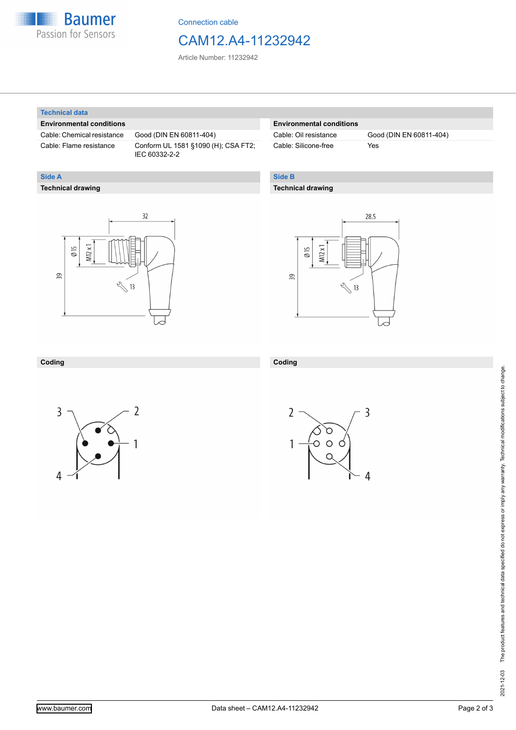

Connection cable

### CAM12.A4-11232942

Article Number: 11232942

#### **Technical data**

**Technical drawing**

**Side A**

#### **Environmental conditions**

Cable: Chemical resistance Good (DIN EN 60811-404)

Cable: Flame resistance Conform UL 1581 §1090 (H); CSA FT2; IEC 60332-2-2

#### **Environmental conditions**

Cable: Silicone-free Yes

Cable: Oil resistance Good (DIN EN 60811-404)

#### **Side B**

#### **Technical drawing**

 $32$  $M12x1$  $\emptyset$  15 39  $\sqrt[3]{13}$ 



#### **Coding**



**Coding**